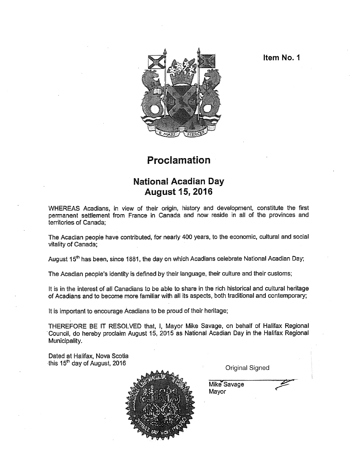Item No. I



## Proclamation

## National Acadian Day August 15, 2016

WHEREAS Acadians, in view of their origin, history and development, constitute the first permanent settlement from France in Canada and now reside in all of the provinces and territories of Canada;

The Acadian people have contributed, for nearly 400 years, to the economic, cultural and social vitality of Canada;

August 15<sup>th</sup> has been, since 1881, the day on which Acadians celebrate National Acadian Day;

The Acadian people's identity is defined by their language, their culture and their customs;

It is in the interest of all Canadians to be able to share in the rich historical and cultural heritage of Acadians and to become more familiar with all its aspects, both traditional and contemporary;

It is important to encourage Acadians to be proud of their heritage;

THEREFORE BE IT RESOLVED that, I, Mayor Mike Savage, on behalf of Halifax Regional Council, do hereby proclaim August 15, 2015 as National Acadian Day in the Halifax Regional Municipality.

Dated at Halifax, Nova Scotia this 15<sup>th</sup> day of August, 2016 **Contract Contract Contract Contract Contract Contract Contract Contract Contract Contract Contract Contract Contract Contract Contract Contract Contract Contract Contract Contract Contract** 



Mike Savage Mayor